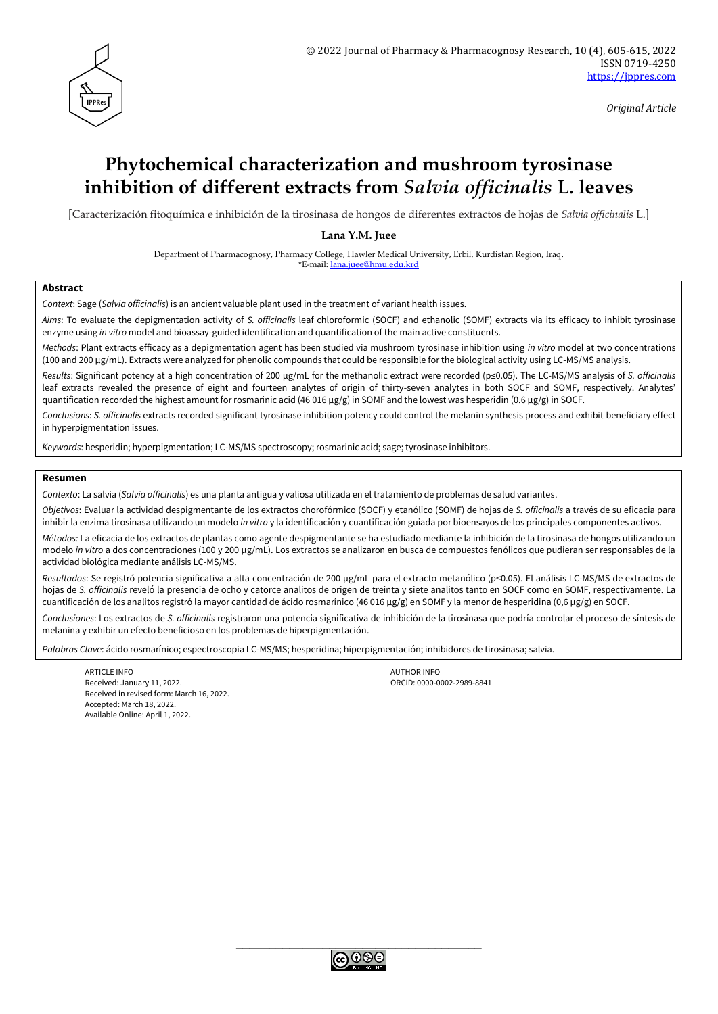

*Original Article*

# **Phytochemical characterization and mushroom tyrosinase inhibition of different extracts from** *Salvia officinalis* **L. leaves**

[Caracterización fitoquímica e inhibición de la tirosinasa de hongos de diferentes extractos de hojas de *Salvia officinalis* L.]

**Lana Y.M. Juee**

Department of Pharmacognosy, Pharmacy College, Hawler Medical University, Erbil, Kurdistan Region, Iraq. \*E-mail: [lana.juee@hmu.edu.krd](mailto:lana.juee@hmu.edu.krd)

#### **Abstract**

*Context*: Sage (*Salvia officinalis*) is an ancient valuable plant used in the treatment of variant health issues.

*Aims*: To evaluate the depigmentation activity of *S. officinalis* leaf chloroformic (SOCF) and ethanolic (SOMF) extracts via its efficacy to inhibit tyrosinase enzyme using *in vitro* model and bioassay-guided identification and quantification of the main active constituents.

*Methods*: Plant extracts efficacy as a depigmentation agent has been studied via mushroom tyrosinase inhibition using *in vitro* model at two concentrations (100 and 200 µg/mL). Extracts were analyzed for phenolic compounds that could be responsible for the biological activity using LC-MS/MS analysis.

*Results*: Significant potency at a high concentration of 200 µg/mL for the methanolic extract were recorded (p≤0.05). The LC-MS/MS analysis of *S. officinalis* leaf extracts revealed the presence of eight and fourteen analytes of origin of thirty-seven analytes in both SOCF and SOMF, respectively. Analytes' quantification recorded the highest amount for rosmarinic acid (46 016 µg/g) in SOMF and the lowest was hesperidin (0.6 µg/g) in SOCF.

*Conclusions*: *S. officinalis* extracts recorded significant tyrosinase inhibition potency could control the melanin synthesis process and exhibit beneficiary effect in hyperpigmentation issues.

*Keywords*: hesperidin; hyperpigmentation; LC-MS/MS spectroscopy; rosmarinic acid; sage; tyrosinase inhibitors.

#### **Resumen**

*Contexto*: La salvia (*Salvia officinalis*) es una planta antigua y valiosa utilizada en el tratamiento de problemas de salud variantes.

*Objetivos*: Evaluar la actividad despigmentante de los extractos chorofórmico (SOCF) y etanólico (SOMF) de hojas de *S. officinalis* a través de su eficacia para inhibir la enzima tirosinasa utilizando un modelo *in vitro* y la identificación y cuantificación guiada por bioensayos de los principales componentes activos.

*Métodos:* La eficacia de los extractos de plantas como agente despigmentante se ha estudiado mediante la inhibición de la tirosinasa de hongos utilizando un modelo *in vitro* a dos concentraciones (100 y 200 µg/mL). Los extractos se analizaron en busca de compuestos fenólicos que pudieran ser responsables de la actividad biológica mediante análisis LC-MS/MS.

*Resultados*: Se registró potencia significativa a alta concentración de 200 µg/mL para el extracto metanólico (p≤0.05). El análisis LC-MS/MS de extractos de hojas de *S. officinalis* reveló la presencia de ocho y catorce analitos de origen de treinta y siete analitos tanto en SOCF como en SOMF, respectivamente. La cuantificación de los analitos registró la mayor cantidad de ácido rosmarínico (46 016 µg/g) en SOMF y la menor de hesperidina (0,6 µg/g) en SOCF.

*Conclusiones*: Los extractos de *S. officinalis* registraron una potencia significativa de inhibición de la tirosinasa que podría controlar el proceso de síntesis de melanina y exhibir un efecto beneficioso en los problemas de hiperpigmentación.

*Palabras Clave*: ácido rosmarínico; espectroscopia LC-MS/MS; hesperidina; hiperpigmentación; inhibidores de tirosinasa; salvia.

ARTICLE INFO AUTHOR INFO AUTHOR INFO AUTHOR INFO Received: January 11, 2022. ORCID: 0000-0002-2989-8841 Received in revised form: March 16, 2022. Accepted: March 18, 2022. Available Online: April 1, 2022.

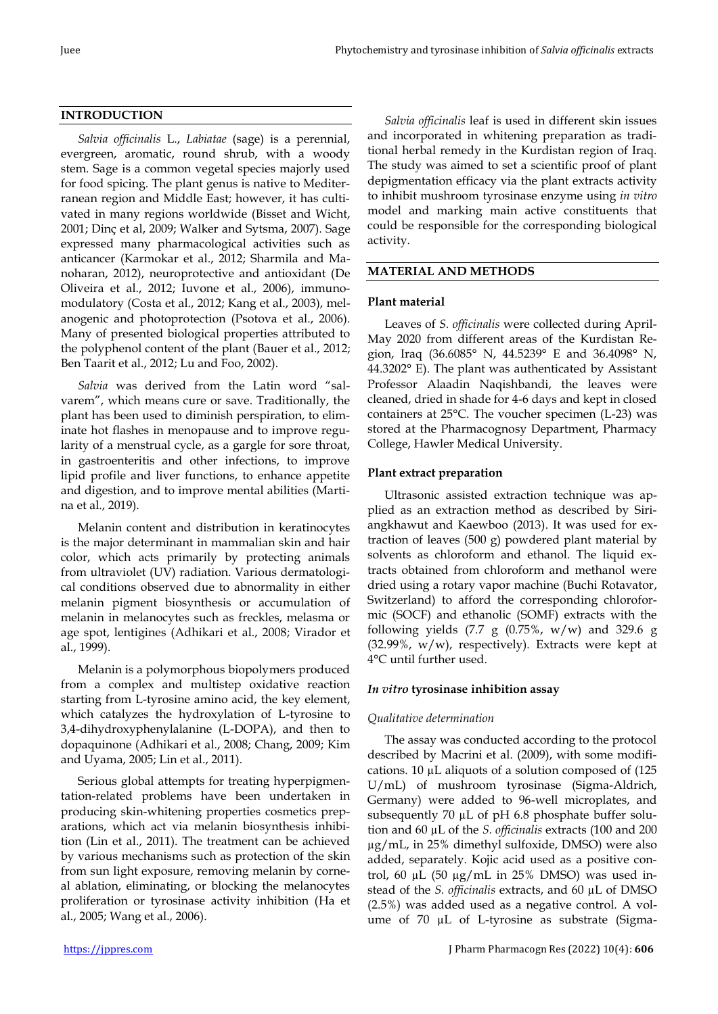# **INTRODUCTION**

*Salvia officinalis* L., *Labiatae* (sage) is a perennial, evergreen, aromatic, round shrub, with a woody stem. Sage is a common vegetal species majorly used for food spicing. The plant genus is native to Mediterranean region and Middle East; however, it has cultivated in many regions worldwide (Bisset and Wicht, 2001; Dinç et al, 2009; Walker and Sytsma, 2007). Sage expressed many pharmacological activities such as anticancer (Karmokar et al., 2012; Sharmila and Manoharan, 2012), neuroprotective and antioxidant (De Oliveira et al., 2012; Iuvone et al., 2006), immunomodulatory (Costa et al., 2012; Kang et al., 2003), melanogenic and photoprotection (Psotova et al., 2006). Many of presented biological properties attributed to the polyphenol content of the plant (Bauer et al., 2012; Ben Taarit et al., 2012; Lu and Foo, 2002).

*Salvia* was derived from the Latin word "salvarem", which means cure or save. Traditionally, the plant has been used to diminish perspiration, to eliminate hot flashes in menopause and to improve regularity of a menstrual cycle, as a gargle for sore throat, in gastroenteritis and other infections, to improve lipid profile and liver functions, to enhance appetite and digestion, and to improve mental abilities (Martina et al., 2019).

Melanin content and distribution in keratinocytes is the major determinant in mammalian skin and hair color, which acts primarily by protecting animals from ultraviolet (UV) radiation. Various dermatological conditions observed due to abnormality in either melanin pigment biosynthesis or accumulation of melanin in melanocytes such as freckles, melasma or age spot, lentigines (Adhikari et al., 2008; Virador et al., 1999).

Melanin is a polymorphous biopolymers produced from a complex and multistep oxidative reaction starting from L-tyrosine amino acid, the key element, which catalyzes the hydroxylation of L-tyrosine to 3,4-dihydroxyphenylalanine (L-DOPA), and then to dopaquinone (Adhikari et al., 2008; Chang, 2009; Kim and Uyama, 2005; Lin et al., 2011).

Serious global attempts for treating hyperpigmentation-related problems have been undertaken in producing skin-whitening properties cosmetics preparations, which act via melanin biosynthesis inhibition (Lin et al., 2011). The treatment can be achieved by various mechanisms such as protection of the skin from sun light exposure, removing melanin by corneal ablation, eliminating, or blocking the melanocytes proliferation or tyrosinase activity inhibition (Ha et al., 2005; Wang et al., 2006).

*Salvia officinalis* leaf is used in different skin issues and incorporated in whitening preparation as traditional herbal remedy in the Kurdistan region of Iraq. The study was aimed to set a scientific proof of plant depigmentation efficacy via the plant extracts activity to inhibit mushroom tyrosinase enzyme using *in vitro* model and marking main active constituents that could be responsible for the corresponding biological activity.

# **MATERIAL AND METHODS**

# **Plant material**

Leaves of *S. officinalis* were collected during April-May 2020 from different areas of the Kurdistan Region, Iraq (36.6085° N, 44.5239° E and 36.4098° N, 44.3202° E). The plant was authenticated by Assistant Professor Alaadin Naqishbandi, the leaves were cleaned, dried in shade for 4-6 days and kept in closed containers at 25°C. The voucher specimen (L-23) was stored at the Pharmacognosy Department, Pharmacy College, Hawler Medical University.

# **Plant extract preparation**

Ultrasonic assisted extraction technique was applied as an extraction method as described by Siriangkhawut and Kaewboo (2013). It was used for extraction of leaves (500 g) powdered plant material by solvents as chloroform and ethanol. The liquid extracts obtained from chloroform and methanol were dried using a rotary vapor machine (Buchi Rotavator, Switzerland) to afford the corresponding chloroformic (SOCF) and ethanolic (SOMF) extracts with the following yields (7.7 g  $(0.75\%$ , w/w) and 329.6 g (32.99%,  $w/w$ ), respectively). Extracts were kept at 4°C until further used.

## *In vitro* **tyrosinase inhibition assay**

## *Qualitative determination*

The assay was conducted according to the protocol described by Macrini et al. (2009), with some modifications. 10 µL aliquots of a solution composed of (125 U/mL) of mushroom tyrosinase (Sigma-Aldrich, Germany) were added to 96-well microplates, and subsequently 70 µL of pH 6.8 phosphate buffer solution and 60 µL of the *S. officinalis* extracts (100 and 200 µg/mL, in 25% dimethyl sulfoxide, DMSO) were also added, separately. Kojic acid used as a positive control, 60  $\mu$ L (50  $\mu$ g/mL in 25% DMSO) was used instead of the *S. officinalis* extracts, and 60 µL of DMSO (2.5%) was added used as a negative control. A volume of 70 µL of L-tyrosine as substrate (Sigma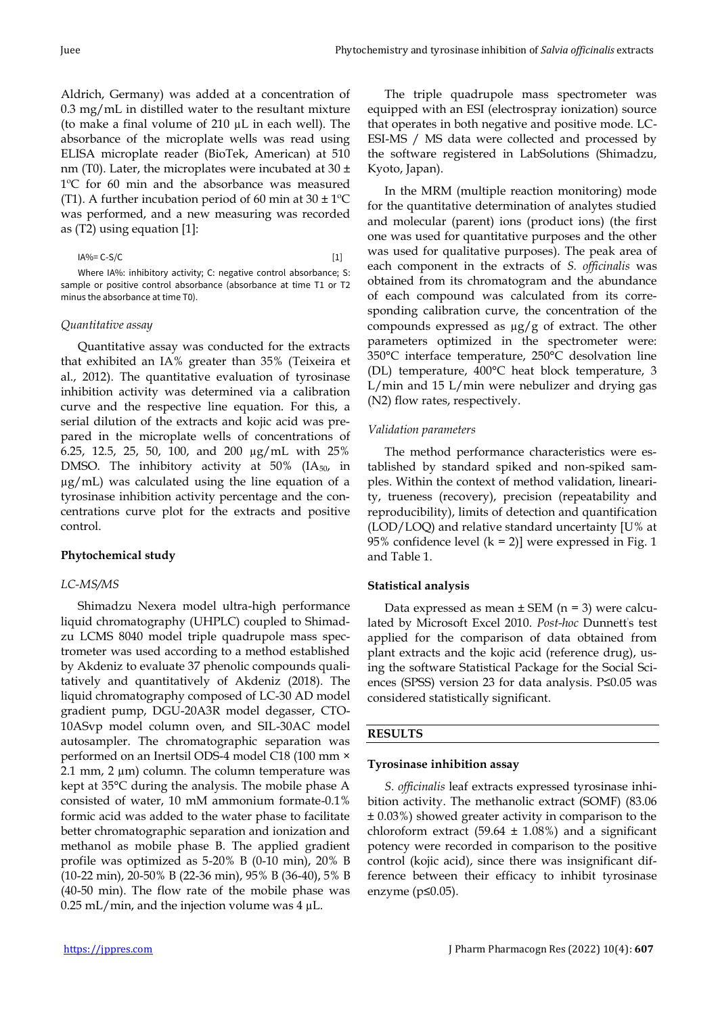Aldrich, Germany) was added at a concentration of 0.3 mg/mL in distilled water to the resultant mixture (to make a final volume of 210 µL in each well). The absorbance of the microplate wells was read using ELISA microplate reader (BioTek, American) at 510 nm (T0). Later, the microplates were incubated at 30  $\pm$ 1ºC for 60 min and the absorbance was measured (T1). A further incubation period of 60 min at  $30 \pm 1$ <sup>o</sup>C was performed, and a new measuring was recorded as (T2) using equation [1]:

Where IA%: inhibitory activity; C: negative control absorbance; S: sample or positive control absorbance (absorbance at time T1 or T2 minus the absorbance at time T0).

## *Quantitative assay*

Quantitative assay was conducted for the extracts that exhibited an IA% greater than 35% (Teixeira et al., 2012). The quantitative evaluation of tyrosinase inhibition activity was determined via a calibration curve and the respective line equation. For this, a serial dilution of the extracts and kojic acid was prepared in the microplate wells of concentrations of 6.25, 12.5, 25, 50, 100, and 200 µg/mL with 25% DMSO. The inhibitory activity at 50% (IA<sub>50</sub>, in µg/mL) was calculated using the line equation of a tyrosinase inhibition activity percentage and the concentrations curve plot for the extracts and positive control.

#### **Phytochemical study**

# *LC-MS/MS*

Shimadzu Nexera model ultra-high performance liquid chromatography (UHPLC) coupled to Shimadzu LCMS 8040 model triple quadrupole mass spectrometer was used according to a method established by Akdeniz to evaluate 37 phenolic compounds qualitatively and quantitatively of Akdeniz (2018). The liquid chromatography composed of LC-30 AD model gradient pump, DGU-20A3R model degasser, CTO-10ASvp model column oven, and SIL-30AC model autosampler. The chromatographic separation was performed on an Inertsil ODS-4 model C18 (100 mm × 2.1 mm, 2  $\mu$ m) column. The column temperature was kept at 35°C during the analysis. The mobile phase A consisted of water, 10 mM ammonium formate-0.1% formic acid was added to the water phase to facilitate better chromatographic separation and ionization and methanol as mobile phase B. The applied gradient profile was optimized as 5-20% B (0-10 min), 20% B (10-22 min), 20-50% B (22-36 min), 95% B (36-40), 5% B (40-50 min). The flow rate of the mobile phase was  $0.25$  mL/min, and the injection volume was 4  $\mu$ L.

In the MRM (multiple reaction monitoring) mode for the quantitative determination of analytes studied and molecular (parent) ions (product ions) (the first one was used for quantitative purposes and the other was used for qualitative purposes). The peak area of each component in the extracts of *S. officinalis* was obtained from its chromatogram and the abundance of each compound was calculated from its corresponding calibration curve, the concentration of the compounds expressed as  $\mu$ g/g of extract. The other parameters optimized in the spectrometer were: 350°C interface temperature, 250°C desolvation line (DL) temperature, 400°C heat block temperature, 3 L/min and 15 L/min were nebulizer and drying gas (N2) flow rates, respectively.

#### *Validation parameters*

The method performance characteristics were established by standard spiked and non-spiked samples. Within the context of method validation, linearity, trueness (recovery), precision (repeatability and reproducibility), limits of detection and quantification (LOD/LOQ) and relative standard uncertainty [U% at 95% confidence level  $(k = 2)$ ] were expressed in Fig. 1 and Table 1.

#### **Statistical analysis**

Data expressed as mean  $\pm$  SEM (n = 3) were calculated by Microsoft Excel 2010. *Post-hoc* Dunnett's test applied for the comparison of data obtained from plant extracts and the kojic acid (reference drug), using the software Statistical Package for the Social Sciences (SPSS) version 23 for data analysis. P≤0.05 was considered statistically significant.

# **RESULTS**

#### **Tyrosinase inhibition assay**

*S. officinalis* leaf extracts expressed tyrosinase inhibition activity. The methanolic extract (SOMF) (83.06 ± 0.03%) showed greater activity in comparison to the chloroform extract (59.64  $\pm$  1.08%) and a significant potency were recorded in comparison to the positive control (kojic acid), since there was insignificant difference between their efficacy to inhibit tyrosinase enzyme (p≤0.05).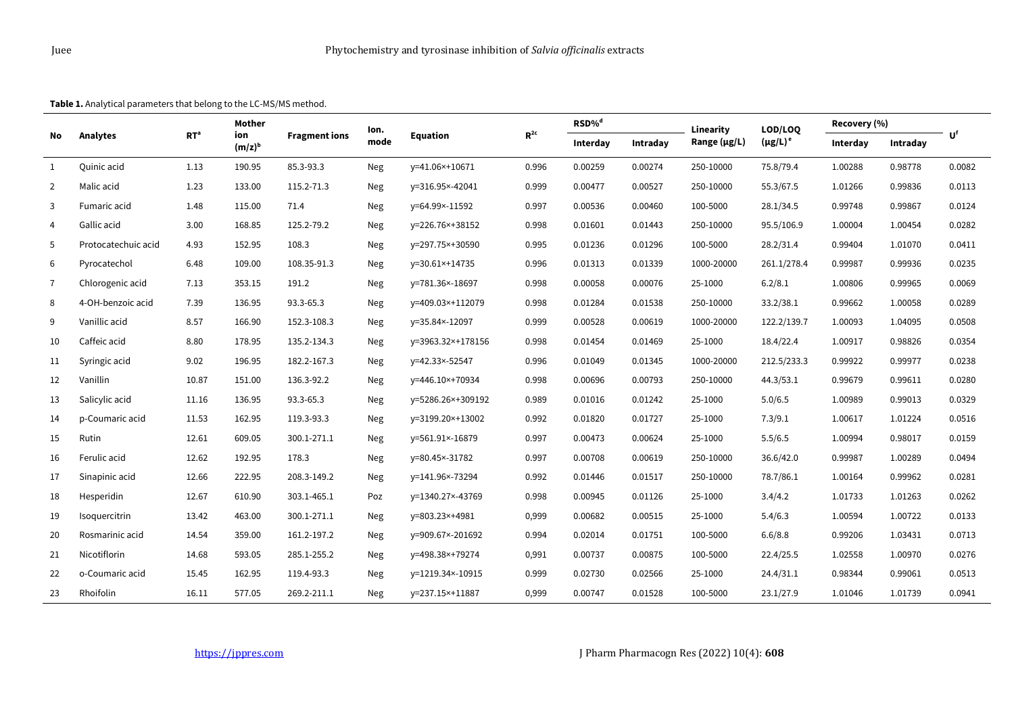**Table 1.** Analytical parameters that belong to the LC-MS/MS method.

| No             |                     | RT <sup>a</sup> | Mother<br>ion<br>$(m/z)^b$ | <b>Fragment ions</b> | lon.<br>mode | <b>Equation</b>   | $\mathbf{R}^{\text{2c}}$ | RSD% <sup>d</sup> |          | Linearity    | LOD/LOQ       | Recovery (%) |          |        |
|----------------|---------------------|-----------------|----------------------------|----------------------|--------------|-------------------|--------------------------|-------------------|----------|--------------|---------------|--------------|----------|--------|
|                | Analytes            |                 |                            |                      |              |                   |                          | Interday          | Intraday | Range (µg/L) | $(\mu g/L)^e$ | Interday     | Intraday | Uf     |
| 1              | Quinic acid         | 1.13            | 190.95                     | 85.3-93.3            | Neg          | y=41.06×+10671    | 0.996                    | 0.00259           | 0.00274  | 250-10000    | 75.8/79.4     | 1.00288      | 0.98778  | 0.0082 |
| $\overline{2}$ | Malic acid          | 1.23            | 133.00                     | 115.2-71.3           | Neg          | y=316.95×-42041   | 0.999                    | 0.00477           | 0.00527  | 250-10000    | 55.3/67.5     | 1.01266      | 0.99836  | 0.0113 |
| 3              | Fumaric acid        | 1.48            | 115.00                     | 71.4                 | Neg          | y=64.99×-11592    | 0.997                    | 0.00536           | 0.00460  | 100-5000     | 28.1/34.5     | 0.99748      | 0.99867  | 0.0124 |
| $\overline{4}$ | Gallic acid         | 3.00            | 168.85                     | 125.2-79.2           | Neg          | y=226.76×+38152   | 0.998                    | 0.01601           | 0.01443  | 250-10000    | 95.5/106.9    | 1.00004      | 1.00454  | 0.0282 |
| 5              | Protocatechuic acid | 4.93            | 152.95                     | 108.3                | Neg          | y=297.75×+30590   | 0.995                    | 0.01236           | 0.01296  | 100-5000     | 28.2/31.4     | 0.99404      | 1.01070  | 0.0411 |
| 6              | Pyrocatechol        | 6.48            | 109.00                     | 108.35-91.3          | Neg          | y=30.61×+14735    | 0.996                    | 0.01313           | 0.01339  | 1000-20000   | 261.1/278.4   | 0.99987      | 0.99936  | 0.0235 |
| $\overline{7}$ | Chlorogenic acid    | 7.13            | 353.15                     | 191.2                | Neg          | y=781.36×-18697   | 0.998                    | 0.00058           | 0.00076  | 25-1000      | 6.2/8.1       | 1.00806      | 0.99965  | 0.0069 |
| 8              | 4-OH-benzoic acid   | 7.39            | 136.95                     | 93.3-65.3            | Neg          | y=409.03×+112079  | 0.998                    | 0.01284           | 0.01538  | 250-10000    | 33.2/38.1     | 0.99662      | 1.00058  | 0.0289 |
| 9              | Vanillic acid       | 8.57            | 166.90                     | 152.3-108.3          | Neg          | y=35.84×-12097    | 0.999                    | 0.00528           | 0.00619  | 1000-20000   | 122.2/139.7   | 1.00093      | 1.04095  | 0.0508 |
| 10             | Caffeic acid        | 8.80            | 178.95                     | 135.2-134.3          | Neg          | y=3963.32×+178156 | 0.998                    | 0.01454           | 0.01469  | 25-1000      | 18.4/22.4     | 1.00917      | 0.98826  | 0.0354 |
| 11             | Syringic acid       | 9.02            | 196.95                     | 182.2-167.3          | Neg          | y=42.33×-52547    | 0.996                    | 0.01049           | 0.01345  | 1000-20000   | 212.5/233.3   | 0.99922      | 0.99977  | 0.0238 |
| 12             | Vanillin            | 10.87           | 151.00                     | 136.3-92.2           | Neg          | y=446.10×+70934   | 0.998                    | 0.00696           | 0.00793  | 250-10000    | 44.3/53.1     | 0.99679      | 0.99611  | 0.0280 |
| 13             | Salicylic acid      | 11.16           | 136.95                     | 93.3-65.3            | Neg          | y=5286.26×+309192 | 0.989                    | 0.01016           | 0.01242  | 25-1000      | 5.0/6.5       | 1.00989      | 0.99013  | 0.0329 |
| 14             | p-Coumaric acid     | 11.53           | 162.95                     | 119.3-93.3           | Neg          | y=3199.20×+13002  | 0.992                    | 0.01820           | 0.01727  | 25-1000      | 7.3/9.1       | 1.00617      | 1.01224  | 0.0516 |
| 15             | Rutin               | 12.61           | 609.05                     | 300.1-271.1          | Neg          | y=561.91×-16879   | 0.997                    | 0.00473           | 0.00624  | 25-1000      | 5.5/6.5       | 1.00994      | 0.98017  | 0.0159 |
| 16             | Ferulic acid        | 12.62           | 192.95                     | 178.3                | Neg          | y=80.45×-31782    | 0.997                    | 0.00708           | 0.00619  | 250-10000    | 36.6/42.0     | 0.99987      | 1.00289  | 0.0494 |
| 17             | Sinapinic acid      | 12.66           | 222.95                     | 208.3-149.2          | Neg          | y=141.96×-73294   | 0.992                    | 0.01446           | 0.01517  | 250-10000    | 78.7/86.1     | 1.00164      | 0.99962  | 0.0281 |
| 18             | Hesperidin          | 12.67           | 610.90                     | 303.1-465.1          | Poz          | y=1340.27×-43769  | 0.998                    | 0.00945           | 0.01126  | 25-1000      | 3.4/4.2       | 1.01733      | 1.01263  | 0.0262 |
| 19             | Isoquercitrin       | 13.42           | 463.00                     | 300.1-271.1          | Neg          | y=803.23×+4981    | 0,999                    | 0.00682           | 0.00515  | 25-1000      | 5.4/6.3       | 1.00594      | 1.00722  | 0.0133 |
| 20             | Rosmarinic acid     | 14.54           | 359.00                     | 161.2-197.2          | Neg          | y=909.67×-201692  | 0.994                    | 0.02014           | 0.01751  | 100-5000     | 6.6/8.8       | 0.99206      | 1.03431  | 0.0713 |
| 21             | Nicotiflorin        | 14.68           | 593.05                     | 285.1-255.2          | Neg          | y=498.38×+79274   | 0,991                    | 0.00737           | 0.00875  | 100-5000     | 22.4/25.5     | 1.02558      | 1.00970  | 0.0276 |
| 22             | o-Coumaric acid     | 15.45           | 162.95                     | 119.4-93.3           | Neg          | y=1219.34×-10915  | 0.999                    | 0.02730           | 0.02566  | 25-1000      | 24.4/31.1     | 0.98344      | 0.99061  | 0.0513 |
| 23             | Rhoifolin           | 16.11           | 577.05                     | 269.2-211.1          | Neg          | y=237.15×+11887   | 0,999                    | 0.00747           | 0.01528  | 100-5000     | 23.1/27.9     | 1.01046      | 1.01739  | 0.0941 |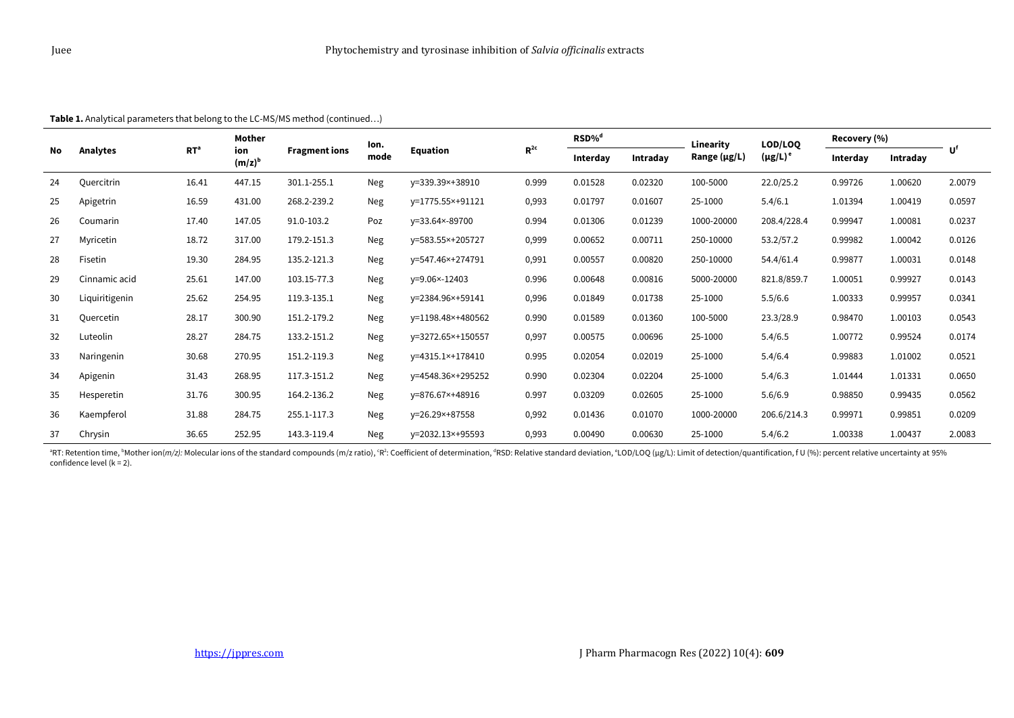| No | Analytes       | RT <sup>a</sup> | Mother<br>ion<br>$(m/z)^b$ | <b>Fragment ions</b> | lon.<br>mode | Equation          | $R^{2c}$ | RSD% <sup>d</sup> |          | Linearity         | LOD/LOO          | Recovery (%) |          |        |
|----|----------------|-----------------|----------------------------|----------------------|--------------|-------------------|----------|-------------------|----------|-------------------|------------------|--------------|----------|--------|
|    |                |                 |                            |                      |              |                   |          | Interday          | Intraday | Range $(\mu g/L)$ | $(\mu$ g/L) $^e$ | Interday     | Intraday | Uf     |
| 24 | Quercitrin     | 16.41           | 447.15                     | 301.1-255.1          | <b>Neg</b>   | y=339.39×+38910   | 0.999    | 0.01528           | 0.02320  | 100-5000          | 22.0/25.2        | 0.99726      | 1.00620  | 2.0079 |
| 25 | Apigetrin      | 16.59           | 431.00                     | 268.2-239.2          | <b>Neg</b>   | y=1775.55×+91121  | 0,993    | 0.01797           | 0.01607  | 25-1000           | 5.4/6.1          | 1.01394      | 1.00419  | 0.0597 |
| 26 | Coumarin       | 17.40           | 147.05                     | 91.0-103.2           | Poz          | y=33.64×-89700    | 0.994    | 0.01306           | 0.01239  | 1000-20000        | 208.4/228.4      | 0.99947      | 1.00081  | 0.0237 |
| 27 | Myricetin      | 18.72           | 317.00                     | 179.2-151.3          | Neg          | y=583.55×+205727  | 0,999    | 0.00652           | 0.00711  | 250-10000         | 53.2/57.2        | 0.99982      | 1.00042  | 0.0126 |
| 28 | Fisetin        | 19.30           | 284.95                     | 135.2-121.3          | <b>Neg</b>   | y=547.46×+274791  | 0,991    | 0.00557           | 0.00820  | 250-10000         | 54.4/61.4        | 0.99877      | 1.00031  | 0.0148 |
| 29 | Cinnamic acid  | 25.61           | 147.00                     | 103.15-77.3          | <b>Neg</b>   | y=9.06×-12403     | 0.996    | 0.00648           | 0.00816  | 5000-20000        | 821.8/859.7      | 1.00051      | 0.99927  | 0.0143 |
| 30 | Liquiritigenin | 25.62           | 254.95                     | 119.3-135.1          | <b>Neg</b>   | y=2384.96×+59141  | 0,996    | 0.01849           | 0.01738  | 25-1000           | 5.5/6.6          | 1.00333      | 0.99957  | 0.0341 |
| 31 | Quercetin      | 28.17           | 300.90                     | 151.2-179.2          | <b>Neg</b>   | y=1198.48×+480562 | 0.990    | 0.01589           | 0.01360  | 100-5000          | 23.3/28.9        | 0.98470      | 1.00103  | 0.0543 |
| 32 | Luteolin       | 28.27           | 284.75                     | 133.2-151.2          | <b>Neg</b>   | y=3272.65×+150557 | 0,997    | 0.00575           | 0.00696  | 25-1000           | 5.4/6.5          | 1.00772      | 0.99524  | 0.0174 |
| 33 | Naringenin     | 30.68           | 270.95                     | 151.2-119.3          | <b>Neg</b>   | y=4315.1×+178410  | 0.995    | 0.02054           | 0.02019  | 25-1000           | 5.4/6.4          | 0.99883      | 1.01002  | 0.0521 |
| 34 | Apigenin       | 31.43           | 268.95                     | 117.3-151.2          | <b>Neg</b>   | y=4548.36×+295252 | 0.990    | 0.02304           | 0.02204  | 25-1000           | 5.4/6.3          | 1.01444      | 1.01331  | 0.0650 |
| 35 | Hesperetin     | 31.76           | 300.95                     | 164.2-136.2          | <b>Neg</b>   | y=876.67×+48916   | 0.997    | 0.03209           | 0.02605  | 25-1000           | 5.6/6.9          | 0.98850      | 0.99435  | 0.0562 |
| 36 | Kaempferol     | 31.88           | 284.75                     | 255.1-117.3          | <b>Neg</b>   | y=26.29×+87558    | 0,992    | 0.01436           | 0.01070  | 1000-20000        | 206.6/214.3      | 0.99971      | 0.99851  | 0.0209 |
| 37 | Chrysin        | 36.65           | 252.95                     | 143.3-119.4          | Neg          | y=2032.13×+95593  | 0,993    | 0.00490           | 0.00630  | 25-1000           | 5.4/6.2          | 1.00338      | 1.00437  | 2.0083 |

**Table 1.** Analytical parameters that belong to the LC-MS/MS method (continued…)

PRT: Retention time, <sup>b</sup>Mother ion(*m/z):* Molecular ions of the standard compounds (m/z ratio), ʿR?: Coefficient of determination, <sup>a</sup>RSD: Relative standard deviation, ˚LOD/LOQ (µg/L): Limit of detection/quantification, confidence level (k = 2).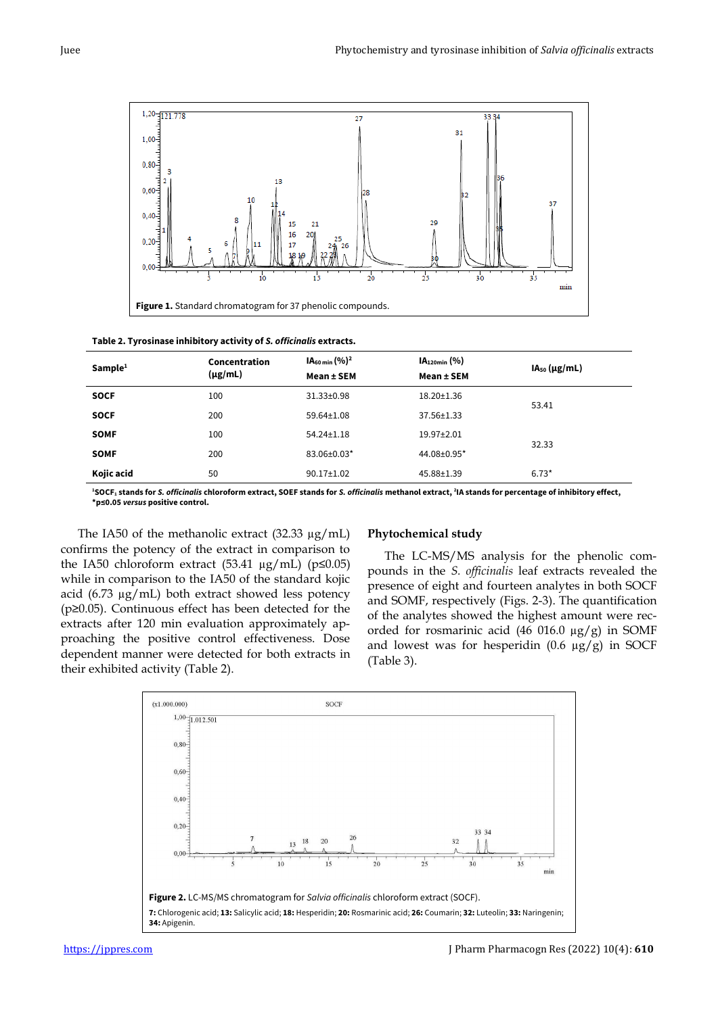

| Sample <sup>1</sup> | Concentration<br>$(\mu g/mL)$ | IA <sub>60 min</sub> (%) <sup>2</sup><br>Mean ± SEM | $IA120min$ (%)<br>Mean ± SEM | $IA50$ (µg/mL) |
|---------------------|-------------------------------|-----------------------------------------------------|------------------------------|----------------|
| <b>SOCF</b>         | 100                           | $31.33 \pm 0.98$                                    | $18.20 \pm 1.36$             | 53.41          |
| <b>SOCF</b>         | 200                           | $59.64 \pm 1.08$                                    | 37.56±1.33                   |                |
| <b>SOMF</b>         | 100                           | $54.24 \pm 1.18$                                    | $19.97 \pm 2.01$             |                |
| <b>SOMF</b>         | 200                           | 83.06±0.03*                                         | 44.08±0.95*                  | 32.33          |
| Kojic acid          | 50                            | $90.17 \pm 1.02$                                    | 45.88±1.39                   | $6.73*$        |

**<sup>1</sup>SOCF<sup>1</sup> stands for** *S. officinalis* **chloroform extract, SOEF stands for** *S. officinalis* **methanol extract, <sup>2</sup> IA stands for percentage of inhibitory effect, \*p≤0.05** *versus* **positive control.**

The IA50 of the methanolic extract (32.33 µg/mL) confirms the potency of the extract in comparison to the IA50 chloroform extract (53.41  $\mu$ g/mL) (p $\leq$ 0.05) while in comparison to the IA50 of the standard kojic acid (6.73  $\mu$ g/mL) both extract showed less potency (p≥0.05). Continuous effect has been detected for the extracts after 120 min evaluation approximately approaching the positive control effectiveness. Dose dependent manner were detected for both extracts in their exhibited activity (Table 2).

# **Phytochemical study**

The LC-MS/MS analysis for the phenolic compounds in the *S. officinalis* leaf extracts revealed the presence of eight and fourteen analytes in both SOCF and SOMF, respectively (Figs. 2-3). The quantification of the analytes showed the highest amount were recorded for rosmarinic acid (46 016.0  $\mu$ g/g) in SOMF and lowest was for hesperidin  $(0.6 \mu g/g)$  in SOCF (Table 3).

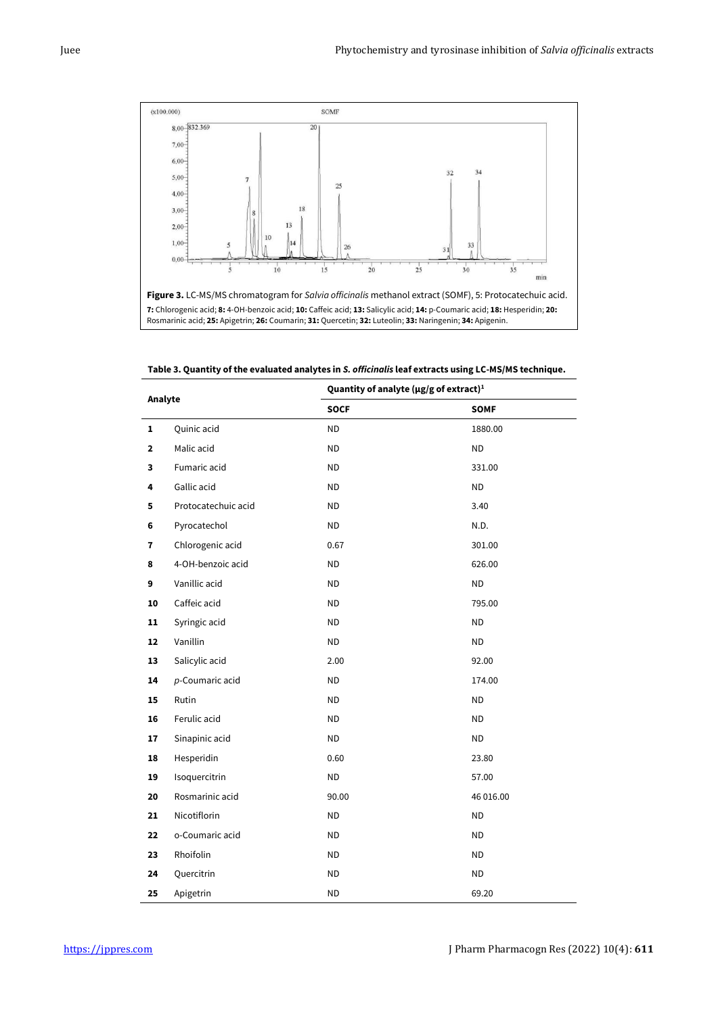

**Table 3. Quantity of the evaluated analytes in** *S. officinalis* **leaf extracts using LC-MS/MS technique.**

| Analyte      |                     | Quantity of analyte ( $\mu$ g/g of extract) <sup>1</sup> |             |  |  |  |
|--------------|---------------------|----------------------------------------------------------|-------------|--|--|--|
|              |                     | <b>SOCF</b>                                              | <b>SOMF</b> |  |  |  |
| $\mathbf{1}$ | Quinic acid         | ${\sf ND}$                                               | 1880.00     |  |  |  |
| $\mathbf{2}$ | Malic acid          | <b>ND</b>                                                | <b>ND</b>   |  |  |  |
| 3            | Fumaric acid        | <b>ND</b>                                                | 331.00      |  |  |  |
| 4            | Gallic acid         | <b>ND</b>                                                | <b>ND</b>   |  |  |  |
| 5            | Protocatechuic acid | <b>ND</b>                                                | 3.40        |  |  |  |
| 6            | Pyrocatechol        | <b>ND</b>                                                | N.D.        |  |  |  |
| 7            | Chlorogenic acid    | 0.67                                                     | 301.00      |  |  |  |
| 8            | 4-OH-benzoic acid   | $\sf ND$                                                 | 626.00      |  |  |  |
| 9            | Vanillic acid       | <b>ND</b>                                                | <b>ND</b>   |  |  |  |
| 10           | Caffeic acid        | <b>ND</b>                                                | 795.00      |  |  |  |
| 11           | Syringic acid       | $\sf ND$                                                 | <b>ND</b>   |  |  |  |
| 12           | Vanillin            | $\sf ND$                                                 | <b>ND</b>   |  |  |  |
| 13           | Salicylic acid      | 2.00                                                     | 92.00       |  |  |  |
| 14           | p-Coumaric acid     | $\sf ND$                                                 | 174.00      |  |  |  |
| 15           | Rutin               | $\sf ND$                                                 | <b>ND</b>   |  |  |  |
| 16           | Ferulic acid        | <b>ND</b>                                                | <b>ND</b>   |  |  |  |
| 17           | Sinapinic acid      | <b>ND</b>                                                | <b>ND</b>   |  |  |  |
| 18           | Hesperidin          | 0.60                                                     | 23.80       |  |  |  |
| 19           | Isoquercitrin       | <b>ND</b>                                                | 57.00       |  |  |  |
| 20           | Rosmarinic acid     | 90.00                                                    | 46 016.00   |  |  |  |
| 21           | Nicotiflorin        | <b>ND</b>                                                | <b>ND</b>   |  |  |  |
| 22           | o-Coumaric acid     | $\sf ND$                                                 | $\sf ND$    |  |  |  |
| 23           | Rhoifolin           | <b>ND</b>                                                | <b>ND</b>   |  |  |  |
| 24           | Quercitrin          | <b>ND</b>                                                | <b>ND</b>   |  |  |  |
| 25           | Apigetrin           | <b>ND</b>                                                | 69.20       |  |  |  |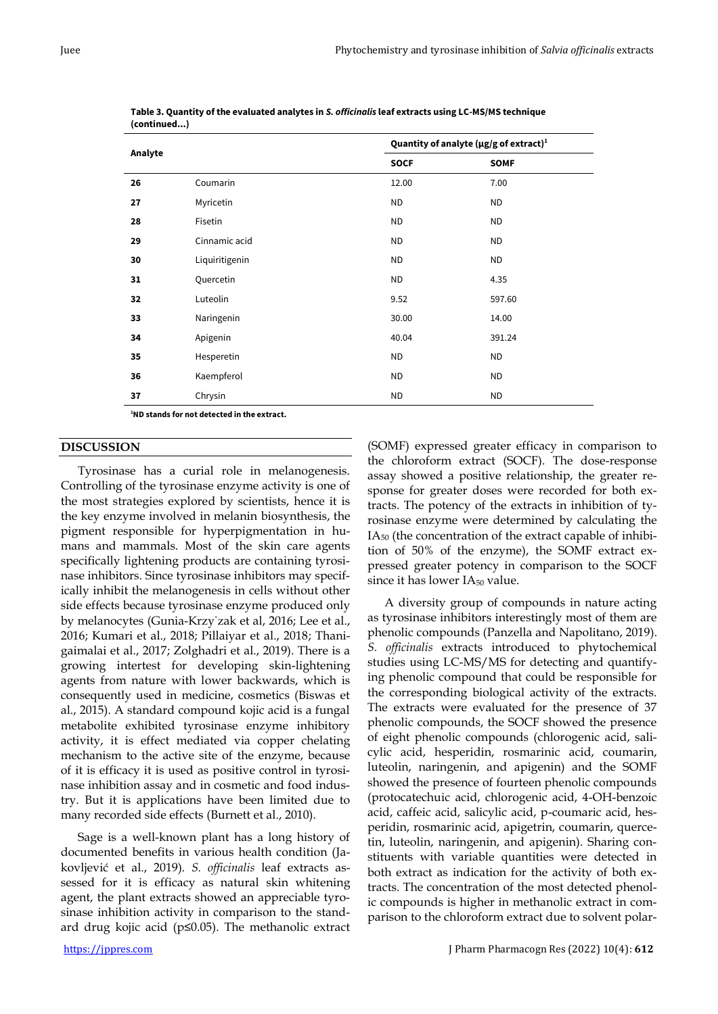|         |                | Quantity of analyte ( $\mu$ g/g of extract) <sup>1</sup> |             |  |  |
|---------|----------------|----------------------------------------------------------|-------------|--|--|
| Analyte |                | <b>SOCF</b>                                              | <b>SOMF</b> |  |  |
| 26      | Coumarin       | 12.00                                                    | 7.00        |  |  |
| 27      | Myricetin      | <b>ND</b>                                                | <b>ND</b>   |  |  |
| 28      | Fisetin        | <b>ND</b>                                                | <b>ND</b>   |  |  |
| 29      | Cinnamic acid  | <b>ND</b>                                                | <b>ND</b>   |  |  |
| 30      | Liquiritigenin | ND                                                       | <b>ND</b>   |  |  |
| 31      | Quercetin      | <b>ND</b>                                                | 4.35        |  |  |
| 32      | Luteolin       | 9.52                                                     | 597.60      |  |  |
| 33      | Naringenin     | 30.00                                                    | 14.00       |  |  |
| 34      | Apigenin       | 40.04                                                    | 391.24      |  |  |
| 35      | Hesperetin     | <b>ND</b>                                                | <b>ND</b>   |  |  |
| 36      | Kaempferol     | <b>ND</b>                                                | <b>ND</b>   |  |  |
| 37      | Chrysin        | <b>ND</b>                                                | <b>ND</b>   |  |  |

**Table 3. Quantity of the evaluated analytes in** *S. officinalis* **leaf extracts using LC-MS/MS technique (continued...)**

**<sup>1</sup>ND stands for not detected in the extract.**

# **DISCUSSION**

Tyrosinase has a curial role in melanogenesis. Controlling of the tyrosinase enzyme activity is one of the most strategies explored by scientists, hence it is the key enzyme involved in melanin biosynthesis, the pigment responsible for hyperpigmentation in humans and mammals. Most of the skin care agents specifically lightening products are containing tyrosinase inhibitors. Since tyrosinase inhibitors may specifically inhibit the melanogenesis in cells without other side effects because tyrosinase enzyme produced only by melanocytes (Gunia-Krzy˙zak et al, 2016; Lee et al., 2016; Kumari et al., 2018; Pillaiyar et al., 2018; Thanigaimalai et al., 2017; Zolghadri et al., 2019). There is a growing intertest for developing skin-lightening agents from nature with lower backwards, which is consequently used in medicine, cosmetics (Biswas et al., 2015). A standard compound kojic acid is a fungal metabolite exhibited tyrosinase enzyme inhibitory activity, it is effect mediated via copper chelating mechanism to the active site of the enzyme, because of it is efficacy it is used as positive control in tyrosinase inhibition assay and in cosmetic and food industry. But it is applications have been limited due to many recorded side effects (Burnett et al., 2010).

Sage is a well-known plant has a long history of documented benefits in various health condition (Jakovljević et al., 2019). *S. officinalis* leaf extracts assessed for it is efficacy as natural skin whitening agent, the plant extracts showed an appreciable tyrosinase inhibition activity in comparison to the standard drug kojic acid (p≤0.05). The methanolic extract

(SOMF) expressed greater efficacy in comparison to the chloroform extract (SOCF). The dose-response assay showed a positive relationship, the greater response for greater doses were recorded for both extracts. The potency of the extracts in inhibition of tyrosinase enzyme were determined by calculating the IA<sup>50</sup> (the concentration of the extract capable of inhibition of 50% of the enzyme), the SOMF extract expressed greater potency in comparison to the SOCF since it has lower  $IA_{50}$  value.

A diversity group of compounds in nature acting as tyrosinase inhibitors interestingly most of them are phenolic compounds (Panzella and Napolitano, 2019). *S. officinalis* extracts introduced to phytochemical studies using LC-MS/MS for detecting and quantifying phenolic compound that could be responsible for the corresponding biological activity of the extracts. The extracts were evaluated for the presence of 37 phenolic compounds, the SOCF showed the presence of eight phenolic compounds (chlorogenic acid, salicylic acid, hesperidin, rosmarinic acid, coumarin, luteolin, naringenin, and apigenin) and the SOMF showed the presence of fourteen phenolic compounds (protocatechuic acid, chlorogenic acid, 4-OH-benzoic acid, caffeic acid, salicylic acid, p-coumaric acid, hesperidin, rosmarinic acid, apigetrin, coumarin, quercetin, luteolin, naringenin, and apigenin). Sharing constituents with variable quantities were detected in both extract as indication for the activity of both extracts. The concentration of the most detected phenolic compounds is higher in methanolic extract in comparison to the chloroform extract due to solvent polar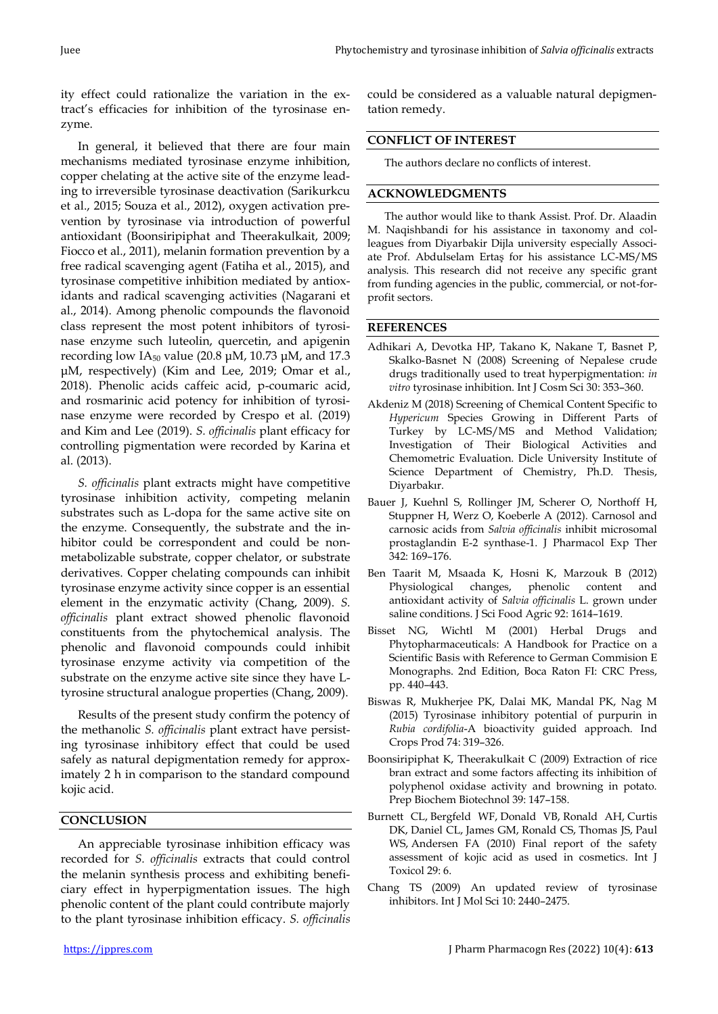ity effect could rationalize the variation in the extract's efficacies for inhibition of the tyrosinase enzyme.

In general, it believed that there are four main mechanisms mediated tyrosinase enzyme inhibition, copper chelating at the active site of the enzyme leading to irreversible tyrosinase deactivation (Sarikurkcu et al., 2015; Souza et al., 2012), oxygen activation prevention by tyrosinase via introduction of powerful antioxidant (Boonsiripiphat and Theerakulkait, 2009; Fiocco et al., 2011), melanin formation prevention by a free radical scavenging agent (Fatiha et al., 2015), and tyrosinase competitive inhibition mediated by antioxidants and radical scavenging activities (Nagarani et al., 2014). Among phenolic compounds the flavonoid class represent the most potent inhibitors of tyrosinase enzyme such luteolin, quercetin, and apigenin recording low IA<sub>50</sub> value (20.8  $\mu$ M, 10.73  $\mu$ M, and 17.3 μM, respectively) (Kim and Lee, 2019; Omar et al., 2018). Phenolic acids caffeic acid, p-coumaric acid, and rosmarinic acid potency for inhibition of tyrosinase enzyme were recorded by Crespo et al. (2019) and Kim and Lee (2019). *S. officinalis* plant efficacy for controlling pigmentation were recorded by Karina et al. (2013).

*S. officinalis* plant extracts might have competitive tyrosinase inhibition activity, competing melanin substrates such as L-dopa for the same active site on the enzyme. Consequently, the substrate and the inhibitor could be correspondent and could be nonmetabolizable substrate, copper chelator, or substrate derivatives. Copper chelating compounds can inhibit tyrosinase enzyme activity since copper is an essential element in the enzymatic activity (Chang, 2009). *S. officinalis* plant extract showed phenolic flavonoid constituents from the phytochemical analysis. The phenolic and flavonoid compounds could inhibit tyrosinase enzyme activity via competition of the substrate on the enzyme active site since they have Ltyrosine structural analogue properties (Chang, 2009).

Results of the present study confirm the potency of the methanolic *S. officinalis* plant extract have persisting tyrosinase inhibitory effect that could be used safely as natural depigmentation remedy for approximately 2 h in comparison to the standard compound kojic acid.

## **CONCLUSION**

An appreciable tyrosinase inhibition efficacy was recorded for *S. officinalis* extracts that could control the melanin synthesis process and exhibiting beneficiary effect in hyperpigmentation issues. The high phenolic content of the plant could contribute majorly to the plant tyrosinase inhibition efficacy. *S. officinalis* could be considered as a valuable natural depigmentation remedy.

## **CONFLICT OF INTEREST**

The authors declare no conflicts of interest.

# **ACKNOWLEDGMENTS**

The author would like to thank Assist. Prof. Dr. Alaadin M. Naqishbandi for his assistance in taxonomy and colleagues from Diyarbakir Dijla university especially Associate Prof. Abdulselam Ertaş for his assistance LC-MS/MS analysis. This research did not receive any specific grant from funding agencies in the public, commercial, or not-forprofit sectors.

## **REFERENCES**

- Adhikari A, Devotka HP, Takano K, Nakane T, Basnet P, Skalko-Basnet N (2008) Screening of Nepalese crude drugs traditionally used to treat hyperpigmentation: *in vitro* tyrosinase inhibition. Int J Cosm Sci 30: 353–360.
- Akdeniz M (2018) Screening of Chemical Content Specific to *Hypericum* Species Growing in Different Parts of Turkey by LC-MS/MS and Method Validation; Investigation of Their Biological Activities and Chemometric Evaluation. Dicle University Institute of Science Department of Chemistry, Ph.D. Thesis, Diyarbakır.
- Bauer J, Kuehnl S, Rollinger JM, Scherer O, Northoff H, Stuppner H, Werz O, Koeberle A (2012). Carnosol and carnosic acids from *Salvia officinalis* inhibit microsomal prostaglandin E-2 synthase-1. J Pharmacol Exp Ther 342: 169–176.
- Ben Taarit M, Msaada K, Hosni K, Marzouk B (2012) Physiological changes, phenolic content and antioxidant activity of *Salvia officinalis* L. grown under saline conditions. J Sci Food Agric 92: 1614–1619.
- Bisset NG, Wichtl M (2001) Herbal Drugs and Phytopharmaceuticals: A Handbook for Practice on a Scientific Basis with Reference to German Commision E Monographs. 2nd Edition, Boca Raton FI: CRC Press, pp. 440–443.
- Biswas R, Mukherjee PK, Dalai MK, Mandal PK, Nag M (2015) Tyrosinase inhibitory potential of purpurin in *Rubia cordifolia*-A bioactivity guided approach. Ind Crops Prod 74: 319–326.
- Boonsiripiphat K, Theerakulkait C (2009) Extraction of rice bran extract and some factors affecting its inhibition of polyphenol oxidase activity and browning in potato. Prep Biochem Biotechnol 39: 147–158.
- Burnett CL, Bergfeld WF, Donald VB, Ronald AH, Curtis DK, Daniel CL, James GM, Ronald CS, Thomas JS, Paul WS, Andersen FA (2010) Final report of the safety assessment of kojic acid as used in cosmetics. Int J Toxicol 29: 6.
- Chang TS (2009) An updated review of tyrosinase inhibitors. Int J Mol Sci 10: 2440–2475.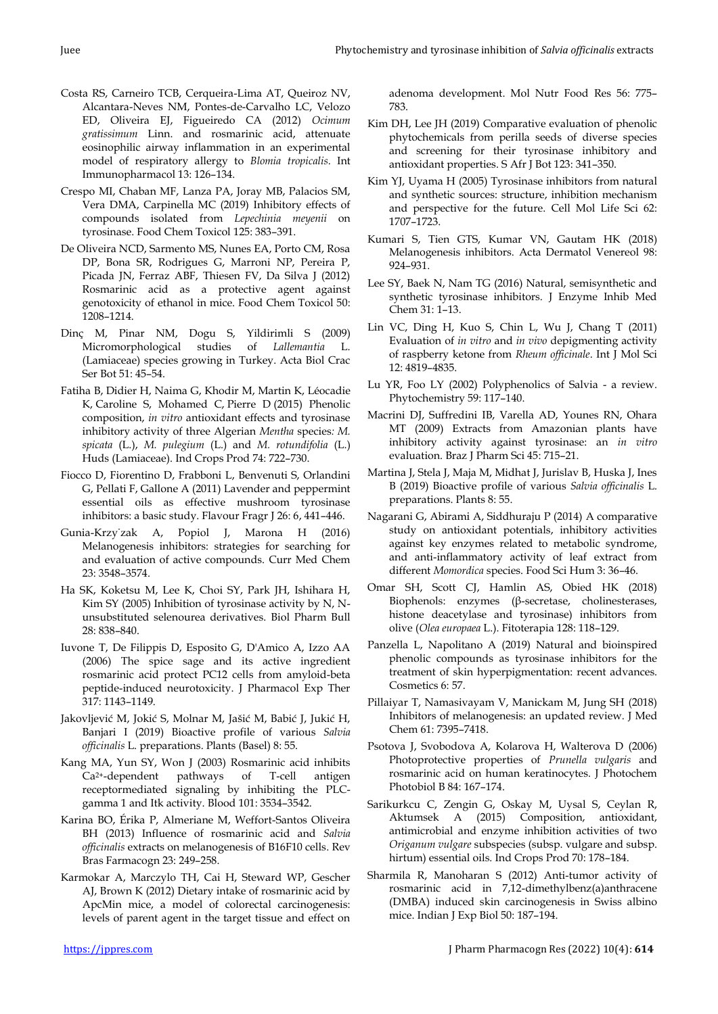- Costa RS, Carneiro TCB, Cerqueira-Lima AT, Queiroz NV, Alcantara-Neves NM, Pontes-de-Carvalho LC, Velozo ED, Oliveira EJ, Figueiredo CA (2012) *Ocimum gratissimum* Linn. and rosmarinic acid, attenuate eosinophilic airway inflammation in an experimental model of respiratory allergy to *Blomia tropicalis*. Int Immunopharmacol 13: 126–134.
- Crespo MI, Chaban MF, Lanza PA, Joray MB, Palacios SM, Vera DMA, Carpinella MC (2019) Inhibitory effects of compounds isolated from *Lepechinia meyenii* on tyrosinase. Food Chem Toxicol 125: 383–391.
- De Oliveira NCD, Sarmento MS, Nunes EA, Porto CM, Rosa DP, Bona SR, Rodrigues G, Marroni NP, Pereira P, Picada JN, Ferraz ABF, Thiesen FV, Da Silva J (2012) Rosmarinic acid as a protective agent against genotoxicity of ethanol in mice. Food Chem Toxicol 50: 1208–1214.
- Dinç M, Pinar NM, Dogu S, Yildirimli S (2009) Micromorphological studies of *Lallemantia* L. (Lamiaceae) species growing in Turkey. Acta Biol Crac Ser Bot 51: 45–54.
- Fatiha B, Didier H, Naima G, Khodir M, Martin K, Léocadie K, Caroline S, Mohamed C, Pierre D (2015) Phenolic composition, *in vitro* antioxidant effects and tyrosinase inhibitory activity of three Algerian *Mentha* species*: M. spicata* (L.), *M. pulegium* (L.) and *M. rotundifolia* (L.) Huds (Lamiaceae). Ind Crops Prod 74: 722–730.
- Fiocco D, Fiorentino D, Frabboni L, Benvenuti S, Orlandini G, Pellati F, Gallone A (2011) Lavender and peppermint essential oils as effective mushroom tyrosinase inhibitors: a basic study. Flavour Fragr J 26: 6, 441–446.
- Gunia-Krzy˙zak A, Popiol J, Marona H (2016) Melanogenesis inhibitors: strategies for searching for and evaluation of active compounds. Curr Med Chem 23: 3548–3574.
- Ha SK, Koketsu M, Lee K, Choi SY, Park JH, Ishihara H, Kim SY (2005) Inhibition of tyrosinase activity by N, Nunsubstituted selenourea derivatives. Biol Pharm Bull 28: 838–840.
- Iuvone T, De Filippis D, Esposito G, D'Amico A, Izzo AA (2006) The spice sage and its active ingredient rosmarinic acid protect PC12 cells from amyloid-beta peptide-induced neurotoxicity. J Pharmacol Exp Ther 317: 1143–1149.
- Jakovljević M, Jokić S, Molnar M, Jašić M, Babić J, Jukić H, Banjari I (2019) Bioactive profile of various *Salvia officinalis* L. preparations. Plants (Basel) 8: 55.
- Kang MA, Yun SY, Won J (2003) Rosmarinic acid inhibits Ca2+-dependent pathways of T-cell antigen receptormediated signaling by inhibiting the PLCgamma 1 and Itk activity. Blood 101: 3534–3542.
- Karina BO, Érika P, Almeriane M, Weffort-Santos Oliveira BH (2013) Influence of rosmarinic acid and *Salvia officinalis* extracts on melanogenesis of B16F10 cells. Rev Bras Farmacogn 23: 249–258.
- Karmokar A, Marczylo TH, Cai H, Steward WP, Gescher AJ, Brown K (2012) Dietary intake of rosmarinic acid by ApcMin mice, a model of colorectal carcinogenesis: levels of parent agent in the target tissue and effect on

adenoma development. Mol Nutr Food Res 56: 775– 783.

- Kim DH, Lee JH (2019) Comparative evaluation of phenolic phytochemicals from perilla seeds of diverse species and screening for their tyrosinase inhibitory and antioxidant properties. S Afr J Bot 123: 341–350.
- Kim YJ, Uyama H (2005) Tyrosinase inhibitors from natural and synthetic sources: structure, inhibition mechanism and perspective for the future. Cell Mol Life Sci 62: 1707–1723.
- Kumari S, Tien GTS, Kumar VN, Gautam HK (2018) Melanogenesis inhibitors. Acta Dermatol Venereol 98: 924–931.
- Lee SY, Baek N, Nam TG (2016) Natural, semisynthetic and synthetic tyrosinase inhibitors. J Enzyme Inhib Med Chem 31: 1–13.
- Lin VC, Ding H, Kuo S, Chin L, Wu J, Chang T (2011) Evaluation of *in vitro* and *in vivo* depigmenting activity of raspberry ketone from *Rheum officinale*. Int J Mol Sci 12: 4819–4835.
- Lu YR, Foo LY (2002) Polyphenolics of Salvia a review. Phytochemistry 59: 117–140.
- Macrini DJ, Suffredini IB, Varella AD, Younes RN, Ohara MT (2009) Extracts from Amazonian plants have inhibitory activity against tyrosinase: an *in vitro* evaluation. Braz J Pharm Sci 45: 715–21.
- Martina J, Stela J, Maja M, Midhat J, Jurislav B, Huska J, Ines B (2019) Bioactive profile of various *Salvia officinalis* L. preparations. Plants 8: 55.
- Nagarani G, Abirami A, Siddhuraju P (2014) A comparative study on antioxidant potentials, inhibitory activities against key enzymes related to metabolic syndrome, and anti-inflammatory activity of leaf extract from different *Momordica* species. Food Sci Hum 3: 36–46.
- Omar SH, Scott CJ, Hamlin AS, Obied HK (2018) Biophenols: enzymes (β-secretase, cholinesterases, histone deacetylase and tyrosinase) inhibitors from olive (*Olea europaea* L.). Fitoterapia 128: 118–129.
- Panzella L, Napolitano A (2019) Natural and bioinspired phenolic compounds as tyrosinase inhibitors for the treatment of skin hyperpigmentation: recent advances. Cosmetics 6: 57.
- Pillaiyar T, Namasivayam V, Manickam M, Jung SH (2018) Inhibitors of melanogenesis: an updated review. J Med Chem 61: 7395–7418.
- Psotova J, Svobodova A, Kolarova H, Walterova D (2006) Photoprotective properties of *Prunella vulgaris* and rosmarinic acid on human keratinocytes. J Photochem Photobiol B 84: 167–174.
- Sarikurkcu C, Zengin G, Oskay M, Uysal S, Ceylan R, Aktumsek A (2015) Composition, antioxidant, antimicrobial and enzyme inhibition activities of two *Origanum vulgare* subspecies (subsp. vulgare and subsp. hirtum) essential oils. Ind Crops Prod 70: 178–184.
- Sharmila R, Manoharan S (2012) Anti-tumor activity of rosmarinic acid in 7,12-dimethylbenz(a)anthracene (DMBA) induced skin carcinogenesis in Swiss albino mice. Indian J Exp Biol 50: 187–194.